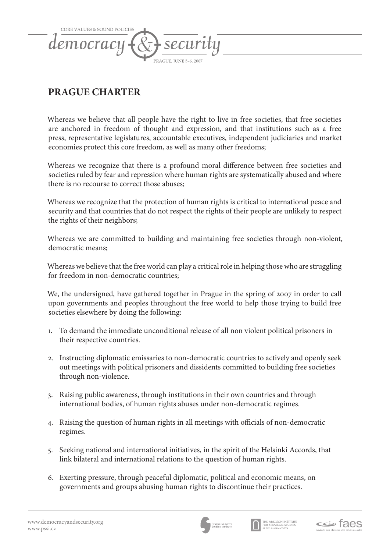

## **PRAGUE CHARTER**

Whereas we believe that all people have the right to live in free societies, that free societies are anchored in freedom of thought and expression, and that institutions such as a free press, representative legislatures, accountable executives, independent judiciaries and market economies protect this core freedom, as well as many other freedoms;

Whereas we recognize that there is a profound moral difference between free societies and societies ruled by fear and repression where human rights are systematically abused and where there is no recourse to correct those abuses;

Whereas we recognize that the protection of human rights is critical to international peace and security and that countries that do not respect the rights of their people are unlikely to respect the rights of their neighbors;

Whereas we are committed to building and maintaining free societies through non-violent, democratic means;

Whereas we believe that the free world can play a critical role in helping those who are struggling for freedom in non-democratic countries;

We, the undersigned, have gathered together in Prague in the spring of 2007 in order to call upon governments and peoples throughout the free world to help those trying to build free societies elsewhere by doing the following:

- 1. To demand the immediate unconditional release of all non violent political prisoners in their respective countries.
- 2. Instructing diplomatic emissaries to non-democratic countries to actively and openly seek out meetings with political prisoners and dissidents committed to building free societies through non-violence.
- 3. Raising public awareness, through institutions in their own countries and through international bodies, of human rights abuses under non-democratic regimes.
- 4. Raising the question of human rights in all meetings with officials of non-democratic regimes.
- 5. Seeking national and international initiatives, in the spirit of the Helsinki Accords, that link bilateral and international relations to the question of human rights.
- 6. Exerting pressure, through peaceful diplomatic, political and economic means, on governments and groups abusing human rights to discontinue their practices.